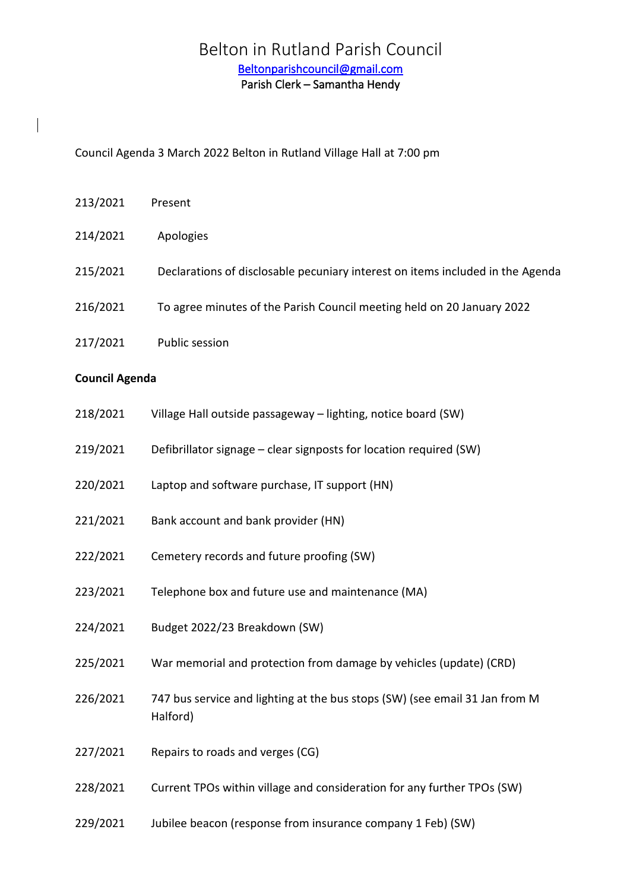# Belton in Rutland Parish Council [Beltonparishcouncil@gmail.com](mailto:Beltonparishcouncil@gmail.com)  Parish Clerk – Samantha Hendy

Council Agenda 3 March 2022 Belton in Rutland Village Hall at 7:00 pm

- 213/2021 Present 214/2021 Apologies 215/2021 Declarations of disclosable pecuniary interest on items included in the Agenda 216/2021 To agree minutes of the Parish Council meeting held on 20 January 2022 217/2021 Public session **Council Agenda**
- 218/2021 Village Hall outside passageway lighting, notice board (SW)
- 219/2021 Defibrillator signage clear signposts for location required (SW)
- 220/2021 Laptop and software purchase, IT support (HN)
- 221/2021 Bank account and bank provider (HN)
- 222/2021 Cemetery records and future proofing (SW)
- 223/2021 Telephone box and future use and maintenance (MA)
- 224/2021 Budget 2022/23 Breakdown (SW)
- 225/2021 War memorial and protection from damage by vehicles (update) (CRD)
- 226/2021 747 bus service and lighting at the bus stops (SW) (see email 31 Jan from M Halford)
- 227/2021 Repairs to roads and verges (CG)
- 228/2021 Current TPOs within village and consideration for any further TPOs (SW)
- 229/2021 Jubilee beacon (response from insurance company 1 Feb) (SW)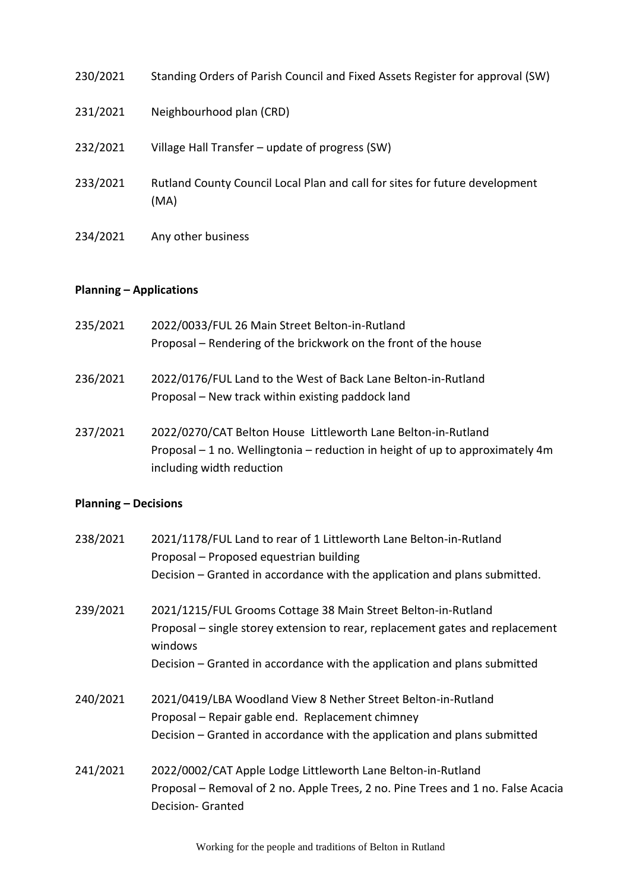| 230/2021 | Standing Orders of Parish Council and Fixed Assets Register for approval (SW)       |
|----------|-------------------------------------------------------------------------------------|
| 231/2021 | Neighbourhood plan (CRD)                                                            |
| 232/2021 | Village Hall Transfer – update of progress (SW)                                     |
| 233/2021 | Rutland County Council Local Plan and call for sites for future development<br>(MA) |
| 234/2021 | Any other business                                                                  |

## **Planning – Applications**

| 235/2021 | 2022/0033/FUL 26 Main Street Belton-in-Rutland                  |
|----------|-----------------------------------------------------------------|
|          | Proposal – Rendering of the brickwork on the front of the house |
|          |                                                                 |

- 236/2021 2022/0176/FUL Land to the West of Back Lane Belton-in-Rutland Proposal – New track within existing paddock land
- 237/2021 2022/0270/CAT Belton House Littleworth Lane Belton-in-Rutland Proposal – 1 no. Wellingtonia – reduction in height of up to approximately 4m including width reduction

## **Planning – Decisions**

| 238/2021 | 2021/1178/FUL Land to rear of 1 Littleworth Lane Belton-in-Rutland<br>Proposal - Proposed equestrian building |
|----------|---------------------------------------------------------------------------------------------------------------|
|          | Decision - Granted in accordance with the application and plans submitted.                                    |
| 239/2021 | 2021/1215/FUL Grooms Cottage 38 Main Street Belton-in-Rutland                                                 |
|          | Proposal – single storey extension to rear, replacement gates and replacement<br>windows                      |
|          | Decision - Granted in accordance with the application and plans submitted                                     |
| 240/2021 | 2021/0419/LBA Woodland View 8 Nether Street Belton-in-Rutland                                                 |
|          | Proposal – Repair gable end. Replacement chimney                                                              |
|          | Decision - Granted in accordance with the application and plans submitted                                     |
| 241/2021 | 2022/0002/CAT Apple Lodge Littleworth Lane Belton-in-Rutland                                                  |
|          | Proposal – Removal of 2 no. Apple Trees, 2 no. Pine Trees and 1 no. False Acacia                              |
|          | <b>Decision- Granted</b>                                                                                      |